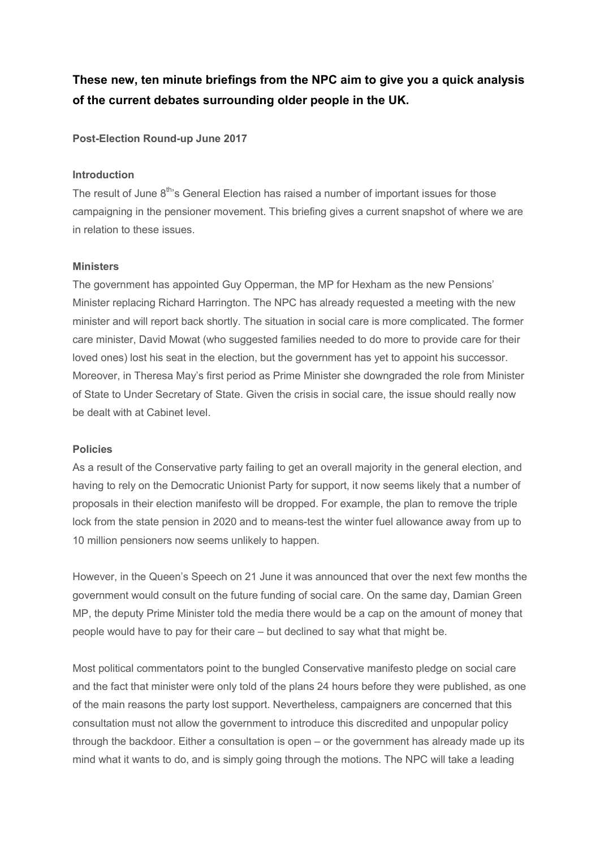These new, ten minute briefings from the NPC aim to give you a quick analysis of the current debates surrounding older people in the UK.

Post-Election Round-up June 2017

### Introduction

The result of June 8<sup>th</sup>'s General Election has raised a number of important issues for those campaigning in the pensioner movement. This briefing gives a current snapshot of where we are in relation to these issues.

#### **Ministers**

The government has appointed Guy Opperman, the MP for Hexham as the new Pensions' Minister replacing Richard Harrington. The NPC has already requested a meeting with the new minister and will report back shortly. The situation in social care is more complicated. The former care minister, David Mowat (who suggested families needed to do more to provide care for their loved ones) lost his seat in the election, but the government has yet to appoint his successor. Moreover, in Theresa May's first period as Prime Minister she downgraded the role from Minister of State to Under Secretary of State. Given the crisis in social care, the issue should really now be dealt with at Cabinet level.

### Policies

As a result of the Conservative party failing to get an overall majority in the general election, and having to rely on the Democratic Unionist Party for support, it now seems likely that a number of proposals in their election manifesto will be dropped. For example, the plan to remove the triple lock from the state pension in 2020 and to means-test the winter fuel allowance away from up to 10 million pensioners now seems unlikely to happen.

However, in the Queen's Speech on 21 June it was announced that over the next few months the government would consult on the future funding of social care. On the same day, Damian Green MP, the deputy Prime Minister told the media there would be a cap on the amount of money that people would have to pay for their care – but declined to say what that might be.

Most political commentators point to the bungled Conservative manifesto pledge on social care and the fact that minister were only told of the plans 24 hours before they were published, as one of the main reasons the party lost support. Nevertheless, campaigners are concerned that this consultation must not allow the government to introduce this discredited and unpopular policy through the backdoor. Either a consultation is open – or the government has already made up its mind what it wants to do, and is simply going through the motions. The NPC will take a leading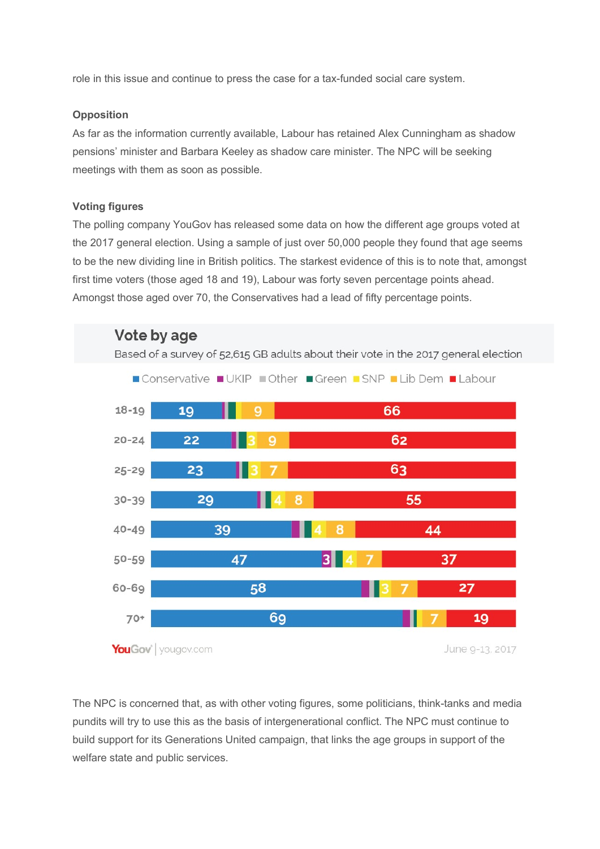role in this issue and continue to press the case for a tax-funded social care system.

## **Opposition**

As far as the information currently available, Labour has retained Alex Cunningham as shadow pensions' minister and Barbara Keeley as shadow care minister. The NPC will be seeking meetings with them as soon as possible.

# Voting figures

The polling company YouGov has released some data on how the different age groups voted at the 2017 general election. Using a sample of just over 50,000 people they found that age seems to be the new dividing line in British politics. The starkest evidence of this is to note that, amongst first time voters (those aged 18 and 19), Labour was forty seven percentage points ahead. Amongst those aged over 70, the Conservatives had a lead of fifty percentage points.



The NPC is concerned that, as with other voting figures, some politicians, think-tanks and media pundits will try to use this as the basis of intergenerational conflict. The NPC must continue to build support for its Generations United campaign, that links the age groups in support of the welfare state and public services.